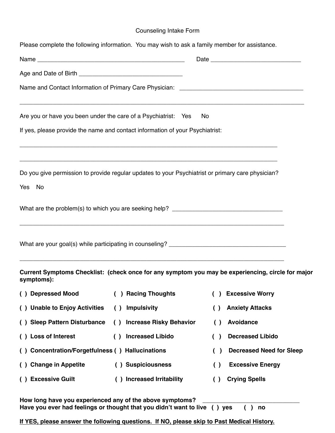## Counseling Intake Form

| Please complete the following information. You may wish to ask a family member for assistance.              |                                             |                                                                                                   |
|-------------------------------------------------------------------------------------------------------------|---------------------------------------------|---------------------------------------------------------------------------------------------------|
|                                                                                                             |                                             |                                                                                                   |
|                                                                                                             |                                             |                                                                                                   |
|                                                                                                             |                                             |                                                                                                   |
| Are you or have you been under the care of a Psychiatrist: Yes                                              |                                             | No                                                                                                |
| If yes, please provide the name and contact information of your Psychiatrist:                               |                                             |                                                                                                   |
| Do you give permission to provide regular updates to your Psychiatrist or primary care physician?<br>Yes No |                                             |                                                                                                   |
|                                                                                                             |                                             |                                                                                                   |
|                                                                                                             |                                             |                                                                                                   |
| symptoms):                                                                                                  |                                             | Current Symptoms Checklist: (check once for any symptom you may be experiencing, circle for major |
| () Depressed Mood                                                                                           | ( ) Racing Thoughts                         | ( ) Excessive Worry                                                                               |
| () Unable to Enjoy Activities                                                                               | <b>Impulsivity</b><br>( )                   | <b>Anxiety Attacks</b><br>$\left( \right)$                                                        |
| () Sleep Pattern Disturbance                                                                                | () Increase Risky Behavior                  | <b>Avoidance</b><br>$\left( \ \right)$                                                            |
| () Loss of Interest                                                                                         | <b>Increased Libido</b><br>$\left( \right)$ | <b>Decreased Libido</b><br>( )                                                                    |
| () Concentration/Forgetfulness () Hallucinations                                                            |                                             | <b>Decreased Need for Sleep</b><br>( )                                                            |
| () Change in Appetite                                                                                       | () Suspiciousness                           | <b>Excessive Energy</b><br>$\left( \ \right)$                                                     |
| () Excessive Guilt                                                                                          | () Increased Irritability                   | <b>Crying Spells</b><br>$\left( \ \right)$                                                        |

How long have you experienced any of the above symptoms? **Have you ever had feelings or thought that you didn't want to live ( ) yes ( ) no**

**If YES, please answer the following questions. If NO, please skip to Past Medical History.**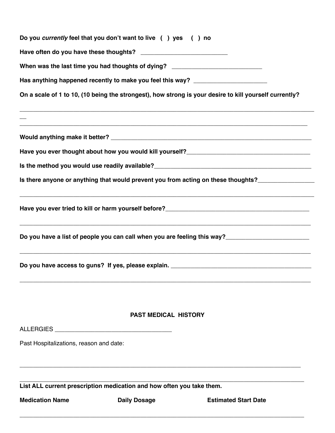| <b>Medication Name</b>                  | <b>Daily Dosage</b>                                                              | <b>Estimated Start Date</b>                                                                            |  |  |
|-----------------------------------------|----------------------------------------------------------------------------------|--------------------------------------------------------------------------------------------------------|--|--|
|                                         | List ALL current prescription medication and how often you take them.            |                                                                                                        |  |  |
|                                         |                                                                                  |                                                                                                        |  |  |
| Past Hospitalizations, reason and date: |                                                                                  |                                                                                                        |  |  |
|                                         |                                                                                  |                                                                                                        |  |  |
|                                         | <b>PAST MEDICAL HISTORY</b>                                                      |                                                                                                        |  |  |
|                                         |                                                                                  |                                                                                                        |  |  |
|                                         |                                                                                  | Do you have a list of people you can call when you are feeling this way?___________________________    |  |  |
|                                         |                                                                                  |                                                                                                        |  |  |
|                                         |                                                                                  | Is there anyone or anything that would prevent you from acting on these thoughts?__________________    |  |  |
|                                         |                                                                                  |                                                                                                        |  |  |
|                                         |                                                                                  |                                                                                                        |  |  |
|                                         |                                                                                  |                                                                                                        |  |  |
|                                         |                                                                                  | On a scale of 1 to 10, (10 being the strongest), how strong is your desire to kill yourself currently? |  |  |
|                                         |                                                                                  | Has anything happened recently to make you feel this way? ______________________                       |  |  |
|                                         | When was the last time you had thoughts of dying? ______________________________ |                                                                                                        |  |  |
|                                         |                                                                                  |                                                                                                        |  |  |
|                                         | Do you currently feel that you don't want to live () yes () no                   |                                                                                                        |  |  |
|                                         |                                                                                  |                                                                                                        |  |  |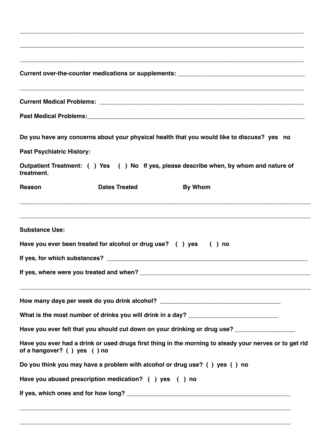| Current over-the-counter medications or supplements: ___________________________                                                                                                                                              |                                                                  |                                                                                                        |  |  |  |
|-------------------------------------------------------------------------------------------------------------------------------------------------------------------------------------------------------------------------------|------------------------------------------------------------------|--------------------------------------------------------------------------------------------------------|--|--|--|
|                                                                                                                                                                                                                               |                                                                  |                                                                                                        |  |  |  |
| Past Medical Problems: Manual According to the Manual According of the Manual According to the Manual According to the Manual According to the Manual According to the Manual According to the Manual According to the Manual |                                                                  |                                                                                                        |  |  |  |
|                                                                                                                                                                                                                               |                                                                  | Do you have any concerns about your physical health that you would like to discuss? yes no             |  |  |  |
| <b>Past Psychiatric History:</b>                                                                                                                                                                                              |                                                                  |                                                                                                        |  |  |  |
| treatment.                                                                                                                                                                                                                    |                                                                  | Outpatient Treatment: () Yes () No If yes, please describe when, by whom and nature of                 |  |  |  |
| Reason                                                                                                                                                                                                                        | <b>Dates Treated</b>                                             | <b>By Whom</b>                                                                                         |  |  |  |
| <b>Substance Use:</b>                                                                                                                                                                                                         | Have you ever been treated for alcohol or drug use? () yes () no |                                                                                                        |  |  |  |
|                                                                                                                                                                                                                               |                                                                  |                                                                                                        |  |  |  |
|                                                                                                                                                                                                                               |                                                                  |                                                                                                        |  |  |  |
|                                                                                                                                                                                                                               |                                                                  | How many days per week do you drink alcohol? ___________________________________                       |  |  |  |
|                                                                                                                                                                                                                               |                                                                  | What is the most number of drinks you will drink in a day? ______________________                      |  |  |  |
|                                                                                                                                                                                                                               |                                                                  | Have you ever felt that you should cut down on your drinking or drug use? _________________________    |  |  |  |
| of a hangover? () yes () no                                                                                                                                                                                                   |                                                                  | Have you ever had a drink or used drugs first thing in the morning to steady your nerves or to get rid |  |  |  |
|                                                                                                                                                                                                                               |                                                                  | Do you think you may have a problem with alcohol or drug use? () yes () no                             |  |  |  |
|                                                                                                                                                                                                                               | Have you abused prescription medication? () yes () no            |                                                                                                        |  |  |  |
|                                                                                                                                                                                                                               |                                                                  |                                                                                                        |  |  |  |
|                                                                                                                                                                                                                               |                                                                  |                                                                                                        |  |  |  |

**\_\_\_\_\_\_\_\_\_\_\_\_\_\_\_\_\_\_\_\_\_\_\_\_\_\_\_\_\_\_\_\_\_\_\_\_\_\_\_\_\_\_\_\_\_\_\_\_\_\_\_\_\_\_\_\_\_\_\_\_\_\_\_\_\_\_\_\_\_\_\_\_\_\_\_\_\_\_\_\_\_**

**\_\_\_\_\_\_\_\_\_\_\_\_\_\_\_\_\_\_\_\_\_\_\_\_\_\_\_\_\_\_\_\_\_\_\_\_\_\_\_\_\_\_\_\_\_\_\_\_\_\_\_\_\_\_\_\_\_\_\_\_\_\_\_\_\_\_\_\_\_\_\_\_\_\_\_\_\_\_\_\_\_\_\_\_\_**